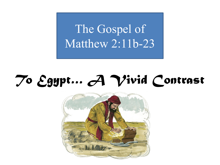The Gospel of Matthew 2:11b-23

## *To Egypt… A Vivid Contrast*

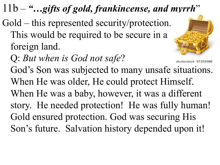## 11b – *"…gifts of gold, frankincense, and myrrh*"

- Gold this represented security/protection. This would be required to be secure in a foreign land.
	- Q: *But when is God not safe*?



God's Son was subjected to many unsafe situations. When He was older, He could protect Himself. When He was a baby, however, it was a different story. He needed protection! He was fully human! Gold ensured protection. God was securing His Son's future. Salvation history depended upon it!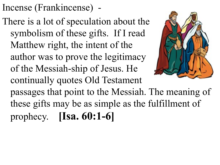Incense (Frankincense) -

There is a lot of speculation about the symbolism of these gifts. If I read Matthew right, the intent of the author was to prove the legitimacy of the Messiah-ship of Jesus. He continually quotes Old Testament passages that point to the Messiah. The meaning of these gifts may be as simple as the fulfillment of prophecy. **[Isa. 60:1-6]**

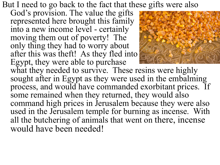But I need to go back to the fact that these gifts were also

God's provision. The value the gifts represented here brought this family into a new income level - certainly moving them out of poverty! The only thing they had to worry about after this was theft! As they fled into Egypt, they were able to purchase



what they needed to survive. These resins were highly sought after in Egypt as they were used in the embalming process, and would have commanded exorbitant prices. If some remained when they returned, they would also command high prices in Jerusalem because they were also used in the Jerusalem temple for burning as incense. With all the butchering of animals that went on there, incense would have been needed!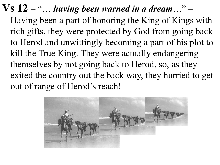**Vs 12** – "… *having been warned in a dream*…" – Having been a part of honoring the King of Kings with rich gifts, they were protected by God from going back to Herod and unwittingly becoming a part of his plot to kill the True King. They were actually endangering themselves by not going back to Herod, so, as they exited the country out the back way, they hurried to get out of range of Herod's reach!

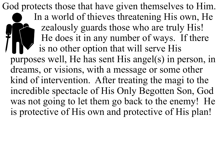God protects those that have given themselves to Him. In a world of thieves threatening His own, He zealously guards those who are truly His! He does it in any number of ways. If there is no other option that will serve His purposes well, He has sent His angel(s) in person, in dreams, or visions, with a message or some other kind of intervention. After treating the magi to the incredible spectacle of His Only Begotten Son, God was not going to let them go back to the enemy! He is protective of His own and protective of His plan!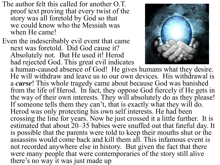- The author felt this called for another O.T. proof text proving that every twist of the story was all foretold by God so that we could know who the Messiah was when He came!
- Even the indescribably evil event that came next was foretold. Did God cause it? Absolutely not. But He used it! Herod had rejected God. This great evil indicates



a human-caused absence of God! He gives humans what they desire. He will withdraw and leave us to our own devices. His withdrawal is a *curse*! This whole tragedy came about because God was banished from the life of Herod. In fact, they oppose God fiercely if He gets in the way of their own interests. They will absolutely do as they please! If someone tells them they can't, that is exactly what they will do. Herod was only protecting his own self interests. He had been crossing the line for years. Now he just crossed it a little further. It is estimated that about 20–35 babies were snuffed out that fateful day. It is possible that the parents were told to keep their mouths shut or the assassins would come back and kill them all. This infamous event is not recorded anywhere else in history. But given the fact that there were many people that were contemporaries of the story still alive there's no way it was just made up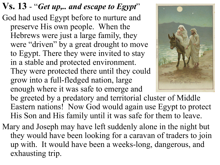- **Vs. 13**  "*Get up,.. and escape to Egypt*" God had used Egypt before to nurture and preserve His own people. When the Hebrews were just a large family, they were "driven" by a great drought to move to Egypt. There they were invited to stay in a stable and protected environment. They were protected there until they could grow into a full-fledged nation, large enough where it was safe to emerge and be greeted by a predatory and territorial cluster of Middle Eastern nations! Now God would again use Egypt to protect His Son and His family until it was safe for them to leave.
- Mary and Joseph may have left suddenly alone in the night but they would have been looking for a caravan of traders to join up with. It would have been a weeks-long, dangerous, and exhausting trip.

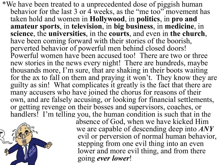\*We have been treated to a unprecedented dose of piggish human behavior for the last 3 or 4 weeks, as the "me too" movement has taken hold and women in **Hollywood**, in **politics**, in **pro and amateur sports**, in **television**, in **big business**, in **medicine**, in **science**, the **universities**, in the **courts**, and even in **the church**, have been coming forward with their stories of the boorish, perverted behavior of powerful men behind closed doors! Powerful women have been accused too! There are two or three new stories in the news every night! There are hundreds, maybe thousands more, I'm sure, that are shaking in their boots waiting for the ax to fall on them and praying it won't. They know they are guilty as sin! What complicates it greatly is the fact that there are many accusers who have joined the chorus for reasons of their own, and are falsely accusing, or looking for financial settlements, or getting revenge on their bosses and supervisors, coaches, or handlers! I'm telling you, the human condition is such that in the



absence of God, when we have kicked Him we are capable of descending deep into *ANY* evil or perversion of normal human behavior, stepping from one evil thing into an even lower and more evil thing, and from there going *ever lower*!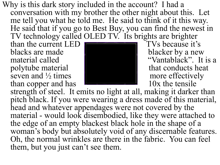Why is this dark story included in the account? I had a conversation with my brother the other night about this. Let me tell you what he told me. He said to think of it this way. He said that if you go to Best Buy, you can find the newest in TV technology called OLED TV. Its brights are brighter

than the current LED  $\blacksquare$  TVs because it's blacks are made blacker by a new polytube material  $\parallel$  that conducts heat seven and  $\frac{1}{2}$  times more effectively more effectively than copper and has than copper and has



material called  $\blacksquare$  "Vantablack". It is a

strength of steel. It emits no light at all, making it darker than pitch black. If you were wearing a dress made of this material, head and whatever appendages were not covered by the material - would look disembodied, like they were attached to the edge of an empty blackest black hole in the shape of a woman's body but absolutely void of any discernable features. Oh, the normal wrinkles are there in the fabric. You can feel them, but you just can't see them.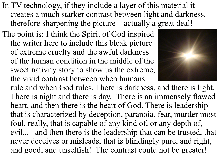- In TV technology, if they include a layer of this material it creates a much starker contrast between light and darkness, therefore sharpening the picture – actually a great deal!
- The point is: I think the Spirit of God inspired the writer here to include this bleak picture of extreme cruelty and the awful darkness of the human condition in the middle of the sweet nativity story to show us the extreme, the vivid contrast between when humans



rule and when God rules. There is darkness, and there is light. There is night and there is day. There is an immensely flawed heart, and then there is the heart of God. There is leadership that is characterized by deception, paranoia, fear, murder most foul, really, that is capable of any kind of, or any depth of, evil,.. and then there is the leadership that can be trusted, that never deceives or misleads, that is blindingly pure, and right, and good, and unselfish! The contrast could not be greater!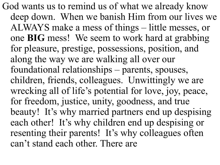God wants us to remind us of what we already know deep down. When we banish Him from our lives we ALWAYS make a mess of things – little messes, or one **BIG** mess! We seem to work hard at grabbing for pleasure, prestige, possessions, position, and along the way we are walking all over our foundational relationships – parents, spouses, children, friends, colleagues. Unwittingly we are wrecking all of life's potential for love, joy, peace, for freedom, justice, unity, goodness, and true beauty! It's why married partners end up despising each other! It's why children end up despising or resenting their parents! It's why colleagues often can't stand each other. There are